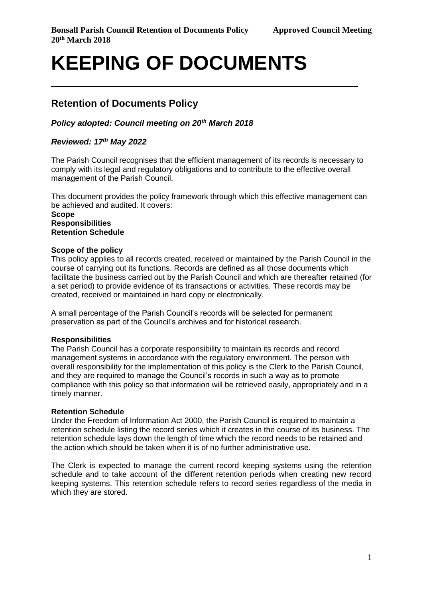# **KEEPING OF DOCUMENTS**

# **Retention of Documents Policy**

# *Policy adopted: Council meeting on 20th March 2018*

# *Reviewed: 17 th May 2022*

The Parish Council recognises that the efficient management of its records is necessary to comply with its legal and regulatory obligations and to contribute to the effective overall management of the Parish Council.

This document provides the policy framework through which this effective management can be achieved and audited. It covers:

#### **Scope Responsibilities Retention Schedule**

### **Scope of the policy**

This policy applies to all records created, received or maintained by the Parish Council in the course of carrying out its functions. Records are defined as all those documents which facilitate the business carried out by the Parish Council and which are thereafter retained (for a set period) to provide evidence of its transactions or activities. These records may be created, received or maintained in hard copy or electronically.

A small percentage of the Parish Council's records will be selected for permanent preservation as part of the Council's archives and for historical research.

# **Responsibilities**

The Parish Council has a corporate responsibility to maintain its records and record management systems in accordance with the regulatory environment. The person with overall responsibility for the implementation of this policy is the Clerk to the Parish Council, and they are required to manage the Council's records in such a way as to promote compliance with this policy so that information will be retrieved easily, appropriately and in a timely manner.

# **Retention Schedule**

Under the Freedom of Information Act 2000, the Parish Council is required to maintain a retention schedule listing the record series which it creates in the course of its business. The retention schedule lays down the length of time which the record needs to be retained and the action which should be taken when it is of no further administrative use.

The Clerk is expected to manage the current record keeping systems using the retention schedule and to take account of the different retention periods when creating new record keeping systems. This retention schedule refers to record series regardless of the media in which they are stored.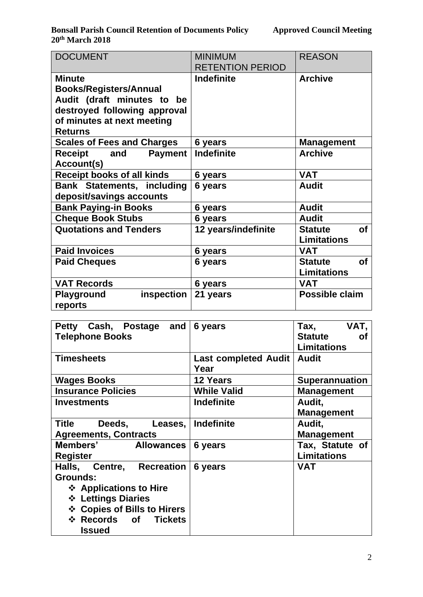**Bonsall Parish Council Retention of Documents Policy Approved Council Meeting 20th March 2018**

| <b>DOCUMENT</b>                   | <b>MINIMUM</b>          | <b>REASON</b>               |  |  |
|-----------------------------------|-------------------------|-----------------------------|--|--|
|                                   | <b>RETENTION PERIOD</b> |                             |  |  |
| <b>Minute</b>                     | <b>Indefinite</b>       | <b>Archive</b>              |  |  |
| <b>Books/Registers/Annual</b>     |                         |                             |  |  |
| Audit (draft minutes to be        |                         |                             |  |  |
| destroyed following approval      |                         |                             |  |  |
| of minutes at next meeting        |                         |                             |  |  |
| <b>Returns</b>                    |                         |                             |  |  |
| <b>Scales of Fees and Charges</b> | 6 years                 | <b>Management</b>           |  |  |
| Receipt<br><b>Payment</b><br>and  | <b>Indefinite</b>       | <b>Archive</b>              |  |  |
| Account(s)                        |                         |                             |  |  |
| <b>Receipt books of all kinds</b> | 6 years                 | <b>VAT</b>                  |  |  |
| <b>Bank Statements, including</b> | 6 years                 | <b>Audit</b>                |  |  |
| deposit/savings accounts          |                         |                             |  |  |
| <b>Bank Paying-in Books</b>       | 6 years                 | <b>Audit</b>                |  |  |
| <b>Cheque Book Stubs</b>          | 6 years                 | <b>Audit</b>                |  |  |
| <b>Quotations and Tenders</b>     | 12 years/indefinite     | <b>of</b><br><b>Statute</b> |  |  |
|                                   |                         | <b>Limitations</b>          |  |  |
| <b>Paid Invoices</b>              | 6 years                 | <b>VAT</b>                  |  |  |
| <b>Paid Cheques</b>               | 6 years                 | <b>of</b><br><b>Statute</b> |  |  |
|                                   |                         | <b>Limitations</b>          |  |  |
| <b>VAT Records</b>                | 6 years                 | <b>VAT</b>                  |  |  |
| inspection<br><b>Playground</b>   | 21 years                | Possible claim              |  |  |
| reports                           |                         |                             |  |  |

| Petty Cash, Postage and<br><b>Telephone Books</b>                                                                                                             | 6 years                      | Tax, VAT,<br><b>Statute</b><br><b>of</b><br><b>Limitations</b> |
|---------------------------------------------------------------------------------------------------------------------------------------------------------------|------------------------------|----------------------------------------------------------------|
| <b>Timesheets</b>                                                                                                                                             | Last completed Audit<br>Year | <b>Audit</b>                                                   |
| <b>Wages Books</b>                                                                                                                                            | <b>12 Years</b>              | <b>Superannuation</b>                                          |
| <b>Insurance Policies</b>                                                                                                                                     | <b>While Valid</b>           | <b>Management</b>                                              |
| <b>Investments</b>                                                                                                                                            | <b>Indefinite</b>            | Audit,<br><b>Management</b>                                    |
| Title<br>Deeds, Leases, Indefinite<br><b>Agreements, Contracts</b>                                                                                            |                              | Audit,<br><b>Management</b>                                    |
| Members' Allowances<br>Register                                                                                                                               | 6 years                      | Tax, Statute of<br><b>Limitations</b>                          |
| Halls, Centre, Recreation<br>Grounds:<br>❖ Applications to Hire<br>❖ Lettings Diaries<br>❖ Copies of Bills to Hirers<br>* Records of Tickets<br><b>Issued</b> | 6 years                      | <b>VAT</b>                                                     |